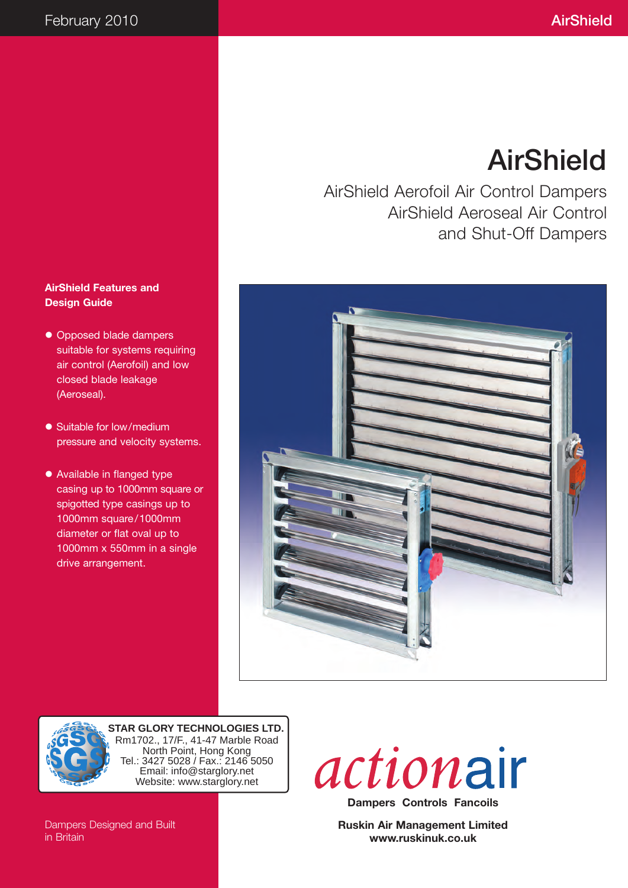# AirShield

AirShield Aerofoil Air Control Dampers AirShield Aeroseal Air Control and Shut-Off Dampers

#### **AirShield Features and Design Guide**

- Opposed blade dampers suitable for systems requiring air control (Aerofoil) and low closed blade leakage (Aeroseal).
- Suitable for low/medium pressure and velocity systems.
- Available in flanged type casing up to 1000mm square or spigotted type casings up to 1000mm square/1000mm diameter or flat oval up to 1000mm x 550mm in a single drive arrangement.





**STAR GLORY TECHNOLOGIES LTD.** Rm1702., 17/F., 41-47 Marble Road North Point, Hong Kong Tel.: 3427 5028 / Fax.: 2146 5050 Email: info@starglory.net Website: www.starglory.net

actionair **Dampers Controls Fancoils**

**Ruskin Air Management Limited www.ruskinuk.co.uk**

Dampers Designed and Built in Britain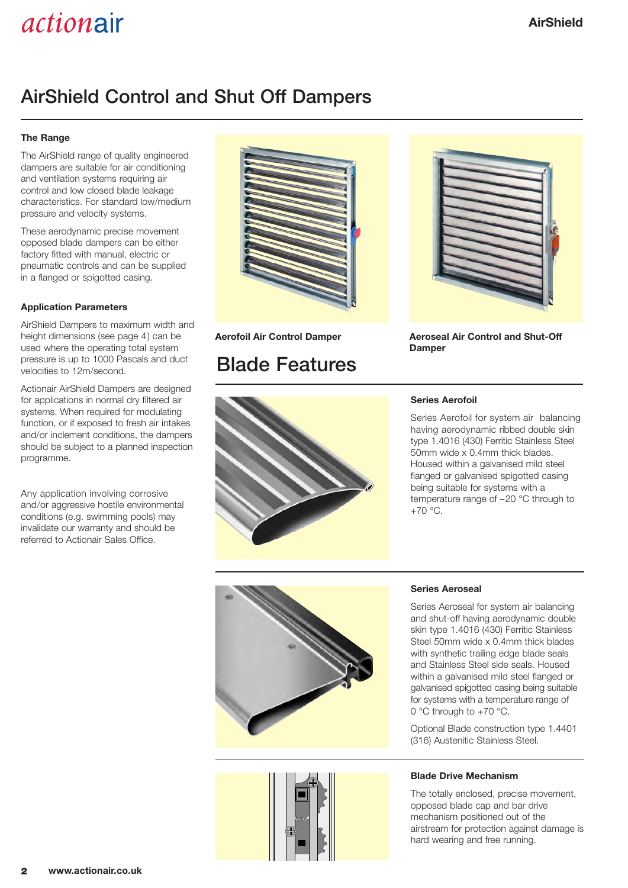## AirShield Control and Shut Off Dampers

#### **The Range**

The AirShield range of quality engineered dampers are suitable for air conditioning and ventilation systems requiring air control and low closed blade leakage characteristics. For standard low/medium pressure and velocity systems.

These aerodynamic precise movement opposed blade dampers can be either factory fitted with manual, electric or pneumatic controls and can be supplied in a flanged or spigotted casing.

#### **Application Parameters**

AirShield Dampers to maximum width and height dimensions (see page 4) can be used where the operating total system pressure is up to 1000 Pascals and duct velocities to 12m/second.

Actionair AirShield Dampers are designed for applications in normal dry filtered air systems. When required for modulating function, or if exposed to fresh air intakes and/or inclement conditions, the dampers should be subject to a planned inspection programme.

Any application involving corrosive and/or aggressive hostile environmental conditions (e.g. swimming pools) may invalidate our warranty and should be referred to Actionair Sales Office.



### Blade Features



**Aerofoil Air Control Damper Aeroseal Air Control and Shut-Off Damper**



#### **Series Aerofoil**

Series Aerofoil for system air balancing having aerodynamic ribbed double skin type 1.4016 (430) Ferritic Stainless Steel 50mm wide x 0.4mm thick blades. Housed within a galvanised mild steel flanged or galvanised spigotted casing being suitable for systems with a temperature range of –20 °C through to +70 °C.





#### **Series Aeroseal**

Series Aeroseal for system air balancing and shut-off having aerodynamic double skin type 1.4016 (430) Ferritic Stainless Steel 50mm wide x 0.4mm thick blades with synthetic trailing edge blade seals and Stainless Steel side seals. Housed within a galvanised mild steel flanged or galvanised spigotted casing being suitable for systems with a temperature range of 0 °C through to +70 °C.

Optional Blade construction type 1.4401 (316) Austenitic Stainless Steel.

#### **Blade Drive Mechanism**

The totally enclosed, precise movement, opposed blade cap and bar drive mechanism positioned out of the airstream for protection against damage is hard wearing and free running.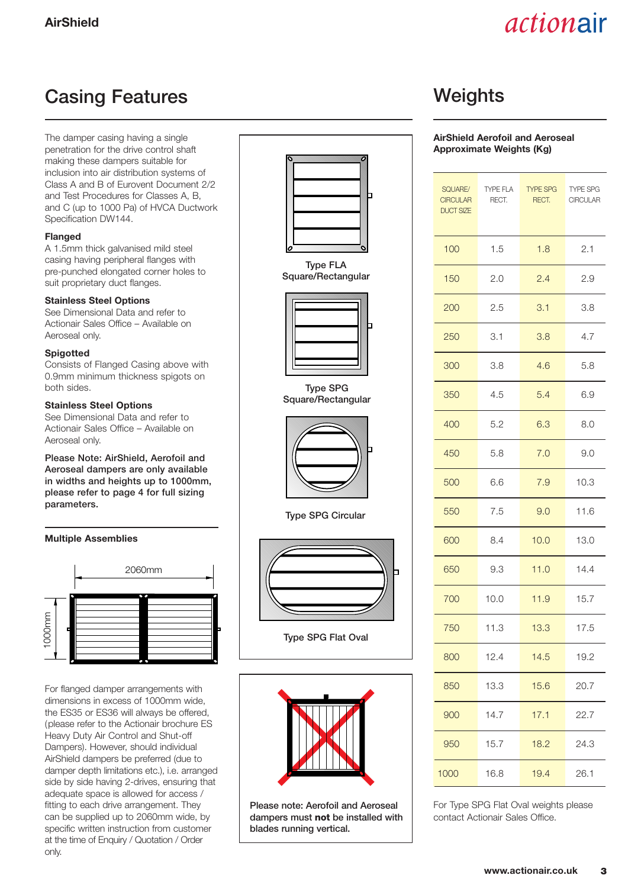### Casing Features **Weights**

The damper casing having a single penetration for the drive control shaft making these dampers suitable for inclusion into air distribution systems of Class A and B of Eurovent Document 2/2 and Test Procedures for Classes A, B, and C (up to 1000 Pa) of HVCA Ductwork Specification DW144.

#### **Flanged**

A 1.5mm thick galvanised mild steel casing having peripheral flanges with pre-punched elongated corner holes to suit proprietary duct flanges.

#### **Stainless Steel Options**

See Dimensional Data and refer to Actionair Sales Office – Available on Aeroseal only.

#### **Spigotted**

Consists of Flanged Casing above with 0.9mm minimum thickness spigots on both sides.

#### **Stainless Steel Options**

See Dimensional Data and refer to Actionair Sales Office – Available on Aeroseal only.

Please Note: AirShield, Aerofoil and Aeroseal dampers are only available in widths and heights up to 1000mm, please refer to page 4 for full sizing parameters.

#### **Multiple Assemblies**



For flanged damper arrangements with dimensions in excess of 1000mm wide, the ES35 or ES36 will always be offered, (please refer to the Actionair brochure ES Heavy Duty Air Control and Shut-off Dampers). However, should individual AirShield dampers be preferred (due to damper depth limitations etc.), i.e. arranged side by side having 2-drives, ensuring that adequate space is allowed for access / fitting to each drive arrangement. They can be supplied up to 2060mm wide, by specific written instruction from customer at the time of Enquiry / Quotation / Order only.



Type FLA Square/Rectangular



Type SPG Square/Rectangular



Type SPG Circular



Type SPG Flat Oval



Please note: Aerofoil and Aeroseal dampers must **not** be installed with blades running vertical.

#### **AirShield Aerofoil and Aeroseal Approximate Weights (Kg)**

| SQUARE/<br><b>CIRCULAR</b><br><b>DUCT SIZE</b> | TYPE FLA<br>RECT. | <b>TYPE SPG</b><br>RECT. | <b>TYPE SPG</b><br><b>CIRCULAR</b> |  |
|------------------------------------------------|-------------------|--------------------------|------------------------------------|--|
| 100                                            | 1.5               | 1.8                      | 2.1                                |  |
| 150                                            | 2.0               | 2.4                      | 2.9                                |  |
| 200                                            | 2.5               | 3.1                      |                                    |  |
| 250                                            | 3.1               | 3.8                      | 4.7                                |  |
| 300                                            | 3.8               | 4.6                      | 5.8                                |  |
| 350                                            | 4.5               | 5.4                      | 6.9                                |  |
| 400                                            | 5.2               | 6.3                      | 8.0                                |  |
| 450                                            | 5.8               | 7.0                      | 9.0                                |  |
| 500                                            | 6.6               | 7.9                      | 10.3                               |  |
| 550                                            | 7.5               | 9.0                      | 11.6                               |  |
| 600                                            | 8.4               | 10.0                     | 13.0                               |  |
| 650                                            | 9.3               | 11.0                     | 14.4                               |  |
| 700                                            | 10.0              | 11.9                     | 15.7                               |  |
| 750                                            | 11.3              | 13.3                     | 17.5                               |  |
| 800                                            | 12.4              | 14.5                     | 19.2                               |  |
| 850                                            | 13.3              | 15.6                     | 20.7                               |  |
| 900                                            | 14.7              | 17.1                     | 22.7                               |  |
| 950                                            | 15.7              | 18.2                     | 24.3                               |  |
| 1000                                           | 16.8              | 19.4<br>26.1             |                                    |  |

For Type SPG Flat Oval weights please contact Actionair Sales Office.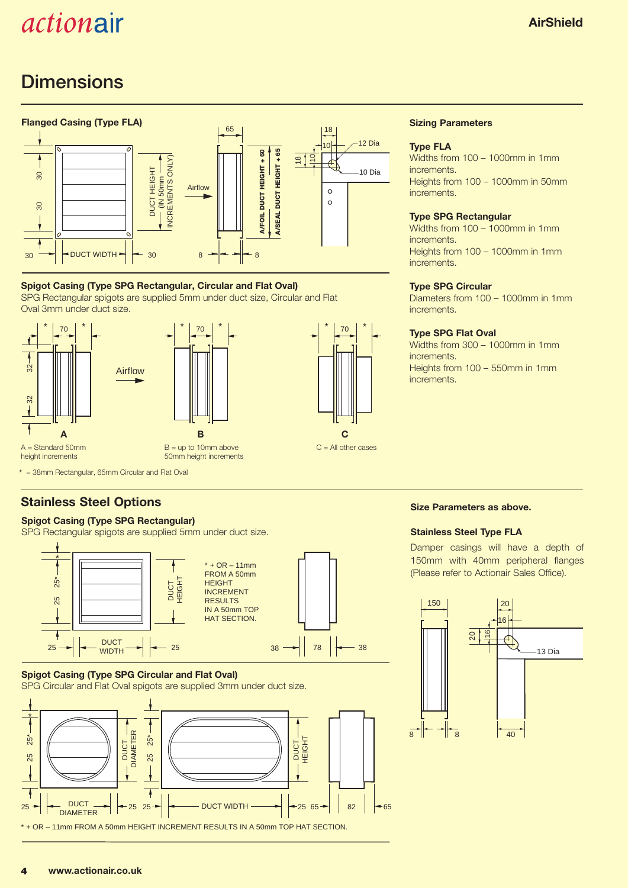## **Dimensions**



#### **Spigot Casing (Type SPG Rectangular, Circular and Flat Oval)**

SPG Rectangular spigots are supplied 5mm under duct size, Circular and Flat  Oval 3mm under duct size.





#### **Sizing Parameters**

#### **Type FLA**

Widths from 100 – 1000mm in 1mm increments. Heights from 100 – 1000mm in 50mm increments.

#### **Type SPG Rectangular**

Widths from 100 – 1000mm in 1mm increments. Heights from 100 – 1000mm in 1mm increments.

#### **Type SPG Circular**

Diameters from 100 – 1000mm in 1mm **increments** 

#### **Type SPG Flat Oval**

Widths from 300 – 1000mm in 1mm increments. Heights from 100 – 550mm in 1mm increments.

\* = 38mm Rectangular, 65mm Circular and Flat Oval l

### **Stainless Steel Options**

### **Spigot Casing (Type SPG Rectangular)**

SPG Rectangular spigots are supplied 5mm under duct size.



#### **Spigot Casing (Type SPG Circular and Flat Oval)**



#### **Size Parameters as above.**

#### **Stainless Steel Type FLA**

Damper casings will have a depth of 150mm with 40mm peripheral flanges (Please refer to Actionair Sales Office).

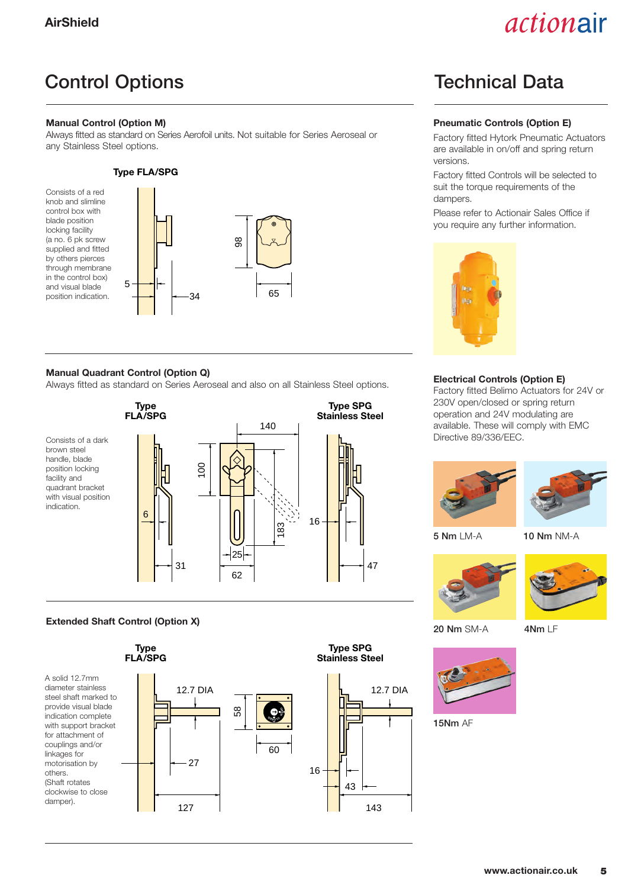## Control Options **Technical Data**

#### **Manual Control (Option M)**

Always fitted as standard on Series Aerofoil units. Not suitable for Series Aeroseal or any Stainless Steel options.

#### **Type FLA/SPG**



#### **Manual Quadrant Control (Option Q)**

**T** 

Always fitted as standard on Series Aeroseal and also on all Stainless Steel options.



#### **Extended Shaft Control (Option X)**



#### **Pneumatic Controls (Option E)**

Factory fitted Hytork Pneumatic Actuators are available in on/off and spring return versions.

Factory fitted Controls will be selected to suit the torque requirements of the dampers.

Please refer to Actionair Sales Office if you require any further information.



#### **Electrical Controls (Option E)**

Factory fitted Belimo Actuators for 24V or 230V open/closed or spring return operation and 24V modulating are available. These will comply with EMC Directive 89/336/EEC.





20 Nm SM-A 4Nm LF



5 Nm LM-A 10 Nm NM-A

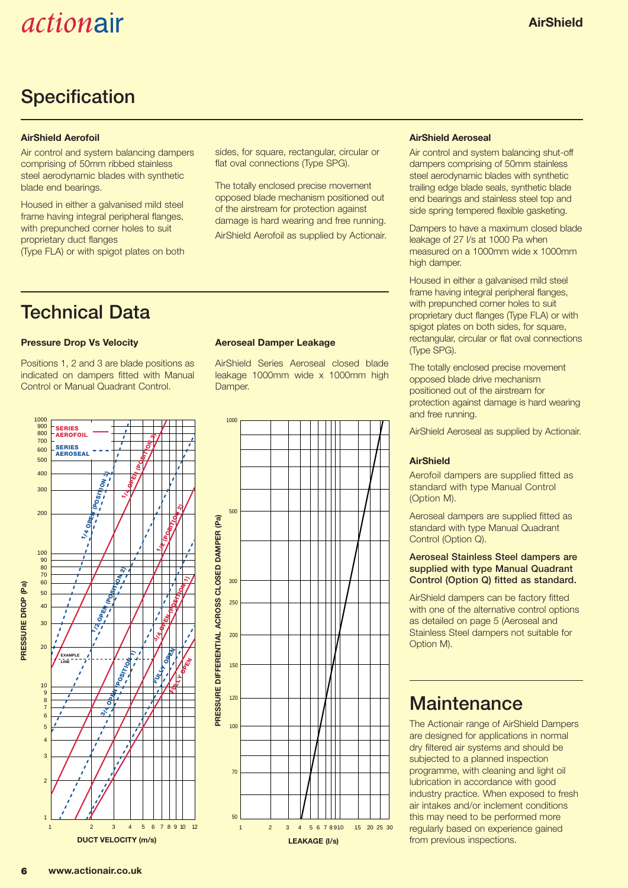### **Specification**

#### **AirShield Aerofoil**

Air control and system balancing dampers comprising of 50mm ribbed stainless steel aerodynamic blades with synthetic blade end bearings.

Housed in either a galvanised mild steel frame having integral peripheral flanges, with prepunched corner holes to suit proprietary duct flanges (Type FLA) or with spigot plates on both

Technical Data

#### **Pressure Drop Vs Velocity**

Positions 1, 2 and 3 are blade positions as indicated on dampers fitted with Manual Control or Manual Quadrant Control.



AirShield Series Aeroseal closed blade leakage 1000mm wide x 1000mm high Damper.

sides, for square, rectangular, circular or flat oval connections (Type SPG).

The totally enclosed precise movement opposed blade mechanism positioned out of the airstream for protection against damage is hard wearing and free running. AirShield Aerofoil as supplied by Actionair.



#### **AirShield Aeroseal**

Air control and system balancing shut-off dampers comprising of 50mm stainless steel aerodynamic blades with synthetic trailing edge blade seals, synthetic blade end bearings and stainless steel top and side spring tempered flexible gasketing.

Dampers to have a maximum closed blade leakage of 27 l/s at 1000 Pa when measured on a 1000mm wide x 1000mm high damper.

Housed in either a galvanised mild steel frame having integral peripheral flanges, with prepunched corner holes to suit proprietary duct flanges (Type FLA) or with spigot plates on both sides, for square, rectangular, circular or flat oval connections (Type SPG).

The totally enclosed precise movement opposed blade drive mechanism positioned out of the airstream for protection against damage is hard wearing and free running.

AirShield Aeroseal as supplied by Actionair.

#### **AirShield**

Aerofoil dampers are supplied fitted as standard with type Manual Control (Option M).

Aeroseal dampers are supplied fitted as standard with type Manual Quadrant Control (Option Q).

#### Aeroseal Stainless Steel dampers are supplied with type Manual Quadrant Control (Option Q) fitted as standard.

AirShield dampers can be factory fitted with one of the alternative control options as detailed on page 5 (Aeroseal and Stainless Steel dampers not suitable for Option M).

### **Maintenance**

The Actionair range of AirShield Dampers are designed for applications in normal dry filtered air systems and should be subjected to a planned inspection programme, with cleaning and light oil lubrication in accordance with good industry practice. When exposed to fresh air intakes and/or inclement conditions this may need to be performed more regularly based on experience gained from previous inspections.

**PRESSURE DROP (Pa)**

**PRESSURE DROP (Pa)**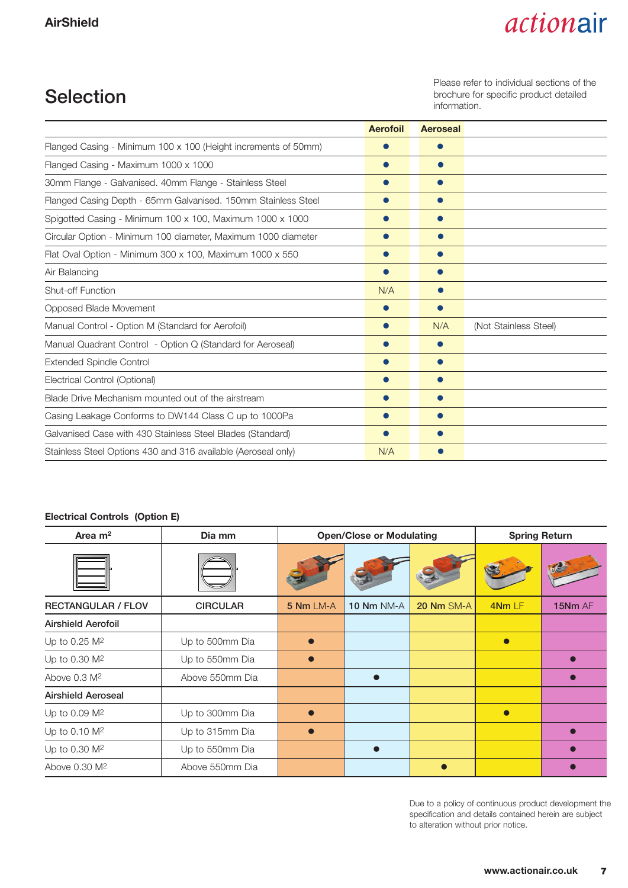### Selection

Please refer to individual sections of the brochure for specific product detailed information.

|                                                                | <b>Aerofoil</b> | <b>Aeroseal</b> |                       |
|----------------------------------------------------------------|-----------------|-----------------|-----------------------|
| Flanged Casing - Minimum 100 x 100 (Height increments of 50mm) |                 | $\bullet$       |                       |
| Flanged Casing - Maximum 1000 x 1000                           | $\bullet$       | $\bullet$       |                       |
| 30mm Flange - Galvanised. 40mm Flange - Stainless Steel        |                 | $\bullet$       |                       |
| Flanged Casing Depth - 65mm Galvanised. 150mm Stainless Steel  |                 | $\bullet$       |                       |
| Spigotted Casing - Minimum 100 x 100, Maximum 1000 x 1000      |                 | $\bullet$       |                       |
| Circular Option - Minimum 100 diameter, Maximum 1000 diameter  | ●               | $\bullet$       |                       |
| Flat Oval Option - Minimum 300 x 100, Maximum 1000 x 550       | $\bullet$       | $\bullet$       |                       |
| Air Balancing                                                  | $\bullet$       | $\bullet$       |                       |
| <b>Shut-off Function</b>                                       |                 | 0               |                       |
| Opposed Blade Movement                                         |                 | $\bullet$       |                       |
| Manual Control - Option M (Standard for Aerofoil)              |                 | N/A             | (Not Stainless Steel) |
| Manual Quadrant Control - Option Q (Standard for Aeroseal)     |                 |                 |                       |
| <b>Extended Spindle Control</b>                                | $\bullet$       |                 |                       |
| Electrical Control (Optional)                                  |                 |                 |                       |
| Blade Drive Mechanism mounted out of the airstream             |                 | $\bullet$       |                       |
| Casing Leakage Conforms to DW144 Class C up to 1000Pa          |                 | $\bullet$       |                       |
| Galvanised Case with 430 Stainless Steel Blades (Standard)     | $\bullet$       |                 |                       |
| Stainless Steel Options 430 and 316 available (Aeroseal only)  | N/A             | $\bullet$       |                       |

#### **Electrical Controls (Option E)**

| Area $m2$                 | Dia mm          |           | <b>Open/Close or Modulating</b> | <b>Spring Return</b> |           |         |
|---------------------------|-----------------|-----------|---------------------------------|----------------------|-----------|---------|
|                           |                 |           |                                 |                      |           |         |
| <b>RECTANGULAR / FLOV</b> | <b>CIRCULAR</b> | 5 Nm LM-A | <b>10 Nm NM-A</b>               | <b>20 Nm SM-A</b>    | 4Nm LF    | 15Nm AF |
| <b>Airshield Aerofoil</b> |                 |           |                                 |                      |           |         |
| Up to 0.25 M <sup>2</sup> | Up to 500mm Dia |           |                                 |                      | $\bullet$ |         |
| Up to 0.30 M <sup>2</sup> | Up to 550mm Dia |           |                                 |                      |           |         |
| Above 0.3 M <sup>2</sup>  | Above 550mm Dia |           |                                 |                      |           |         |
| <b>Airshield Aeroseal</b> |                 |           |                                 |                      |           |         |
| Up to 0.09 M <sup>2</sup> | Up to 300mm Dia |           |                                 |                      | $\bullet$ |         |
| Up to 0.10 M <sup>2</sup> | Up to 315mm Dia |           |                                 |                      |           |         |
| Up to 0.30 M <sup>2</sup> | Up to 550mm Dia |           |                                 |                      |           |         |
| Above 0.30 M <sup>2</sup> | Above 550mm Dia |           |                                 |                      |           |         |

Due to a policy of continuous product development the specification and details contained herein are subject to alteration without prior notice.